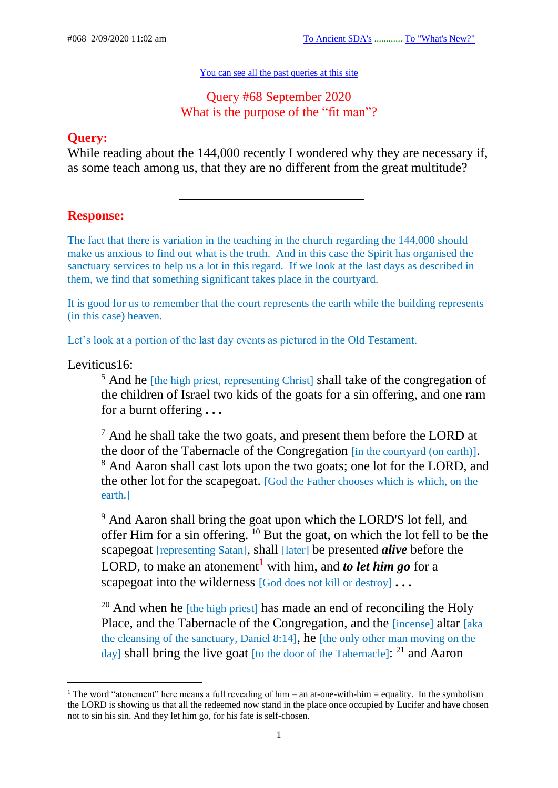#### [You can see all the past queries at this site](https://c.mail.com/@646712656589235468/H2llk2KES5aOtMn_ZdkL7A)

## Query #68 September 2020 What is the purpose of the "fit man"?

## **Query:**

While reading about the 144,000 recently I wondered why they are necessary if, as some teach among us, that they are no different from the great multitude?

# **Response:**

The fact that there is variation in the teaching in the church regarding the 144,000 should make us anxious to find out what is the truth. And in this case the Spirit has organised the sanctuary services to help us a lot in this regard. If we look at the last days as described in them, we find that something significant takes place in the courtyard.

It is good for us to remember that the court represents the earth while the building represents (in this case) heaven.

Let's look at a portion of the last day events as pictured in the Old Testament.

Leviticus16:

<sup>5</sup> And he *[the high priest, representing Christ]* shall take of the congregation of the children of Israel two kids of the goats for a sin offering, and one ram for a burnt offering **. . .**

<sup>7</sup> And he shall take the two goats, and present them before the LORD at the door of the Tabernacle of the Congregation [in the courtyard (on earth)]. <sup>8</sup> And Aaron shall cast lots upon the two goats; one lot for the LORD, and the other lot for the scapegoat. [God the Father chooses which is which, on the earth.]

<sup>9</sup> And Aaron shall bring the goat upon which the LORD'S lot fell, and offer Him for a sin offering.  $\frac{10}{10}$  But the goat, on which the lot fell to be the scapegoat [representing Satan], shall [later] be presented *alive* before the LORD, to make an atonement**<sup>1</sup>** with him, and *to let him go* for a scapegoat into the wilderness [God does not kill or destroy] **. . .**

<sup>20</sup> And when he  $[the high priest]$  has made an end of reconciling the Holy Place, and the Tabernacle of the Congregation, and the [incense] altar [aka the cleansing of the sanctuary, Daniel 8:14], he [the only other man moving on the day] shall bring the live goat [to the door of the Tabernacle]: <sup>21</sup> and Aaron

<sup>&</sup>lt;sup>1</sup> The word "atonement" here means a full revealing of him – an at-one-with-him = equality. In the symbolism the LORD is showing us that all the redeemed now stand in the place once occupied by Lucifer and have chosen not to sin his sin. And they let him go, for his fate is self-chosen.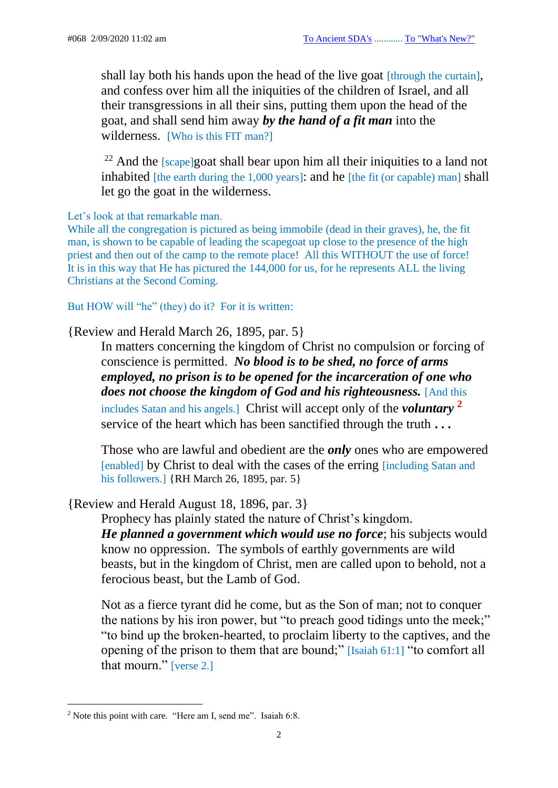shall lay both his hands upon the head of the live goat [through the curtain], and confess over him all the iniquities of the children of Israel, and all their transgressions in all their sins, putting them upon the head of the goat, and shall send him away *by the hand of a fit man* into the wilderness. [Who is this FIT man?]

 $22$  And the [scape]goat shall bear upon him all their iniquities to a land not inhabited [the earth during the 1,000 years]: and he [the fit (or capable) man] shall let go the goat in the wilderness.

Let's look at that remarkable man.

While all the congregation is pictured as being immobile (dead in their graves), he, the fit man, is shown to be capable of leading the scapegoat up close to the presence of the high priest and then out of the camp to the remote place! All this WITHOUT the use of force! It is in this way that He has pictured the 144,000 for us, for he represents ALL the living Christians at the Second Coming.

But HOW will "he" (they) do it? For it is written:

### {Review and Herald March 26, 1895, par. 5}

In matters concerning the kingdom of Christ no compulsion or forcing of conscience is permitted. *No blood is to be shed, no force of arms employed, no prison is to be opened for the incarceration of one who does not choose the kingdom of God and his righteousness.* [And this includes Satan and his angels.] Christ will accept only of the *voluntary* **<sup>2</sup>** service of the heart which has been sanctified through the truth **. . .**

Those who are lawful and obedient are the *only* ones who are empowered [enabled] by Christ to deal with the cases of the erring [including Satan and his followers.] {RH March 26, 1895, par. 5}

### {Review and Herald August 18, 1896, par. 3}

Prophecy has plainly stated the nature of Christ's kingdom. *He planned a government which would use no force*; his subjects would know no oppression. The symbols of earthly governments are wild beasts, but in the kingdom of Christ, men are called upon to behold, not a ferocious beast, but the Lamb of God.

Not as a fierce tyrant did he come, but as the Son of man; not to conquer the nations by his iron power, but "to preach good tidings unto the meek;" "to bind up the broken-hearted, to proclaim liberty to the captives, and the opening of the prison to them that are bound;" [Isaiah 61:1] "to comfort all that mourn." [verse 2.]

<sup>&</sup>lt;sup>2</sup> Note this point with care. "Here am I, send me". Isaiah 6:8.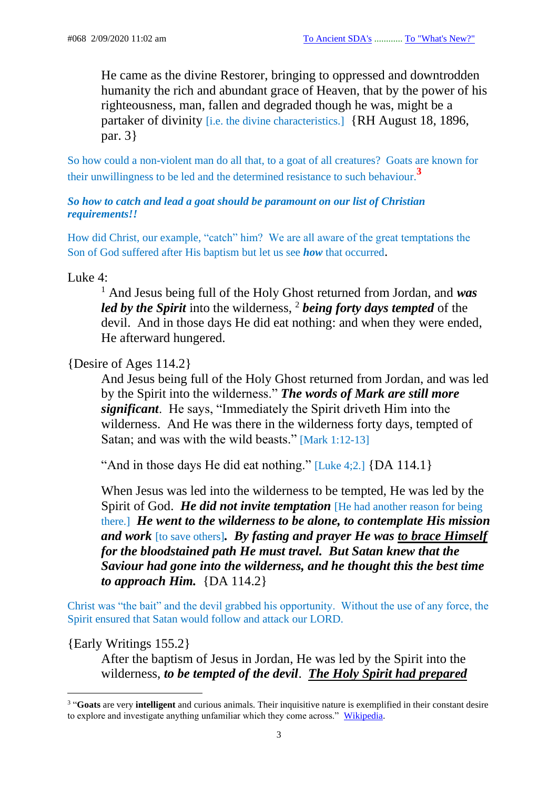He came as the divine Restorer, bringing to oppressed and downtrodden humanity the rich and abundant grace of Heaven, that by the power of his righteousness, man, fallen and degraded though he was, might be a partaker of divinity [i.e. the divine characteristics.] {RH August 18, 1896, par. 3}

So how could a non-violent man do all that, to a goat of all creatures? Goats are known for their unwillingness to be led and the determined resistance to such behaviour.**<sup>3</sup>**

### *So how to catch and lead a goat should be paramount on our list of Christian requirements!!*

How did Christ, our example, "catch" him? We are all aware of the great temptations the Son of God suffered after His baptism but let us see *how* that occurred.

Luke 4:

<sup>1</sup> And Jesus being full of the Holy Ghost returned from Jordan, and *was led by the Spirit* into the wilderness, <sup>2</sup> *being forty days tempted* of the devil. And in those days He did eat nothing: and when they were ended, He afterward hungered.

{Desire of Ages 114.2}

And Jesus being full of the Holy Ghost returned from Jordan, and was led by the Spirit into the wilderness." *The words of Mark are still more significant*. He says, "Immediately the Spirit driveth Him into the wilderness. And He was there in the wilderness forty days, tempted of Satan; and was with the wild beasts." [Mark 1:12-13]

"And in those days He did eat nothing."  $[Luke 4:2.]$  {DA 114.1}

When Jesus was led into the wilderness to be tempted, He was led by the Spirit of God. *He did not invite temptation* [He had another reason for being there.] *He went to the wilderness to be alone, to contemplate His mission and work* [to save others]*. By fasting and prayer He was to brace Himself for the bloodstained path He must travel. But Satan knew that the Saviour had gone into the wilderness, and he thought this the best time to approach Him.* {DA 114.2}

Christ was "the bait" and the devil grabbed his opportunity. Without the use of any force, the Spirit ensured that Satan would follow and attack our LORD.

### {Early Writings 155.2}

After the baptism of Jesus in Jordan, He was led by the Spirit into the wilderness, *to be tempted of the devil*. *The Holy Spirit had prepared* 

<sup>3</sup> "**Goats** are very **intelligent** and curious animals. Their inquisitive nature is exemplified in their constant desire to explore and investigate anything unfamiliar which they come across." [Wikipedia.](https://www.google.com/search?client=firefox-b-d&q=How+to+handle+a+wild+goat)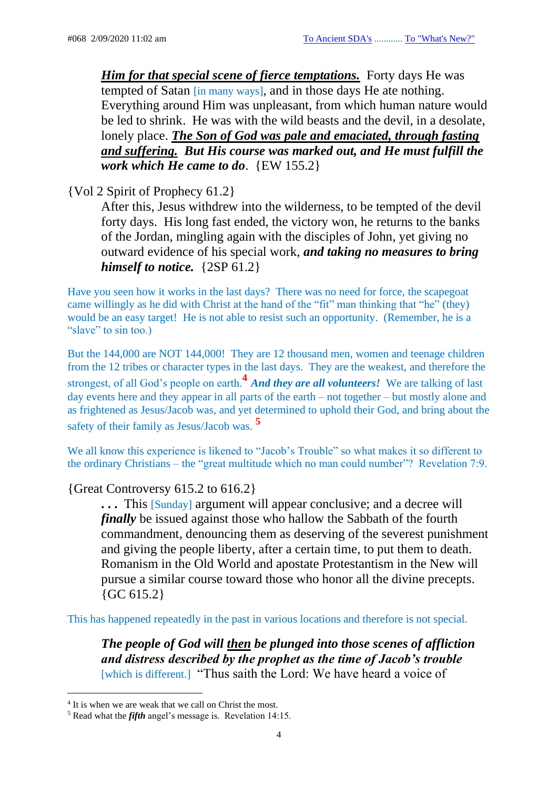*Him for that special scene of fierce temptations.* Forty days He was tempted of Satan [in many ways], and in those days He ate nothing. Everything around Him was unpleasant, from which human nature would be led to shrink. He was with the wild beasts and the devil, in a desolate, lonely place. *The Son of God was pale and emaciated, through fasting and suffering. But His course was marked out, and He must fulfill the work which He came to do*. {EW 155.2}

{Vol 2 Spirit of Prophecy 61.2}

After this, Jesus withdrew into the wilderness, to be tempted of the devil forty days. His long fast ended, the victory won, he returns to the banks of the Jordan, mingling again with the disciples of John, yet giving no outward evidence of his special work, *and taking no measures to bring himself to notice.* {2SP 61.2}

Have you seen how it works in the last days? There was no need for force, the scapegoat came willingly as he did with Christ at the hand of the "fit" man thinking that "he" (they) would be an easy target! He is not able to resist such an opportunity. (Remember, he is a "slave" to sin too.)

But the 144,000 are NOT 144,000! They are 12 thousand men, women and teenage children from the 12 tribes or character types in the last days. They are the weakest, and therefore the strongest, of all God's people on earth.**<sup>4</sup>** *And they are all volunteers!* We are talking of last day events here and they appear in all parts of the earth – not together – but mostly alone and as frightened as Jesus/Jacob was, and yet determined to uphold their God, and bring about the safety of their family as Jesus/Jacob was. **<sup>5</sup>**

We all know this experience is likened to "Jacob's Trouble" so what makes it so different to the ordinary Christians – the "great multitude which no man could number"? Revelation 7:9.

{Great Controversy 615.2 to 616.2}

**. . .** This [Sunday] argument will appear conclusive; and a decree will *finally* be issued against those who hallow the Sabbath of the fourth commandment, denouncing them as deserving of the severest punishment and giving the people liberty, after a certain time, to put them to death. Romanism in the Old World and apostate Protestantism in the New will pursue a similar course toward those who honor all the divine precepts.  ${GC 615.2}$ 

This has happened repeatedly in the past in various locations and therefore is not special.

*The people of God will then be plunged into those scenes of affliction and distress described by the prophet as the time of Jacob's trouble* [which is different.] "Thus saith the Lord: We have heard a voice of

<sup>&</sup>lt;sup>4</sup> It is when we are weak that we call on Christ the most.

<sup>5</sup> Read what the *fifth* angel's message is. Revelation 14:15.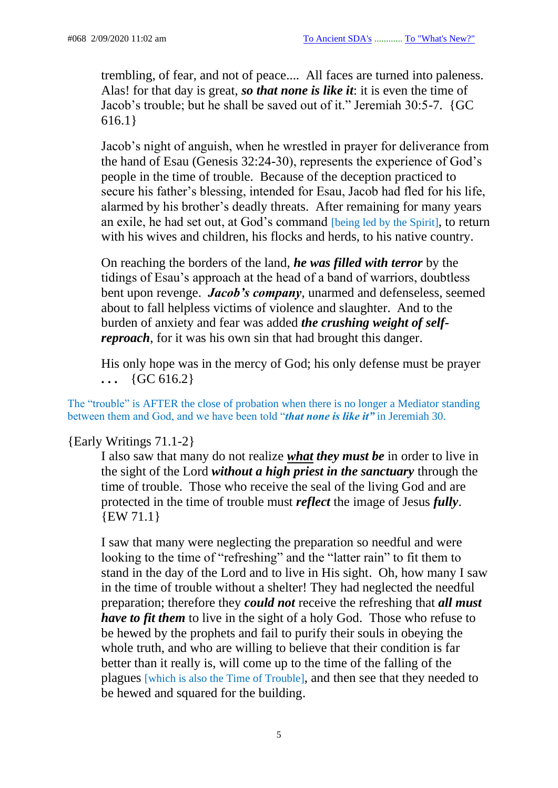trembling, of fear, and not of peace.... All faces are turned into paleness. Alas! for that day is great, *so that none is like it*: it is even the time of Jacob's trouble; but he shall be saved out of it." Jeremiah 30:5-7. {GC 616.1}

Jacob's night of anguish, when he wrestled in prayer for deliverance from the hand of Esau (Genesis 32:24-30), represents the experience of God's people in the time of trouble. Because of the deception practiced to secure his father's blessing, intended for Esau, Jacob had fled for his life, alarmed by his brother's deadly threats. After remaining for many years an exile, he had set out, at God's command [being led by the Spirit], to return with his wives and children, his flocks and herds, to his native country.

On reaching the borders of the land, *he was filled with terror* by the tidings of Esau's approach at the head of a band of warriors, doubtless bent upon revenge. *Jacob's company*, unarmed and defenseless, seemed about to fall helpless victims of violence and slaughter. And to the burden of anxiety and fear was added *the crushing weight of selfreproach*, for it was his own sin that had brought this danger.

His only hope was in the mercy of God; his only defense must be prayer  $\ldots$  {GC 616.2}

The "trouble" is AFTER the close of probation when there is no longer a Mediator standing between them and God, and we have been told "*that none is like it"* in Jeremiah 30.

### {Early Writings 71.1-2}

I also saw that many do not realize *what they must be* in order to live in the sight of the Lord *without a high priest in the sanctuary* through the time of trouble. Those who receive the seal of the living God and are protected in the time of trouble must *reflect* the image of Jesus *fully*. {EW 71.1}

I saw that many were neglecting the preparation so needful and were looking to the time of "refreshing" and the "latter rain" to fit them to stand in the day of the Lord and to live in His sight. Oh, how many I saw in the time of trouble without a shelter! They had neglected the needful preparation; therefore they *could not* receive the refreshing that *all must have to fit them* to live in the sight of a holy God. Those who refuse to be hewed by the prophets and fail to purify their souls in obeying the whole truth, and who are willing to believe that their condition is far better than it really is, will come up to the time of the falling of the plagues [which is also the Time of Trouble], and then see that they needed to be hewed and squared for the building.